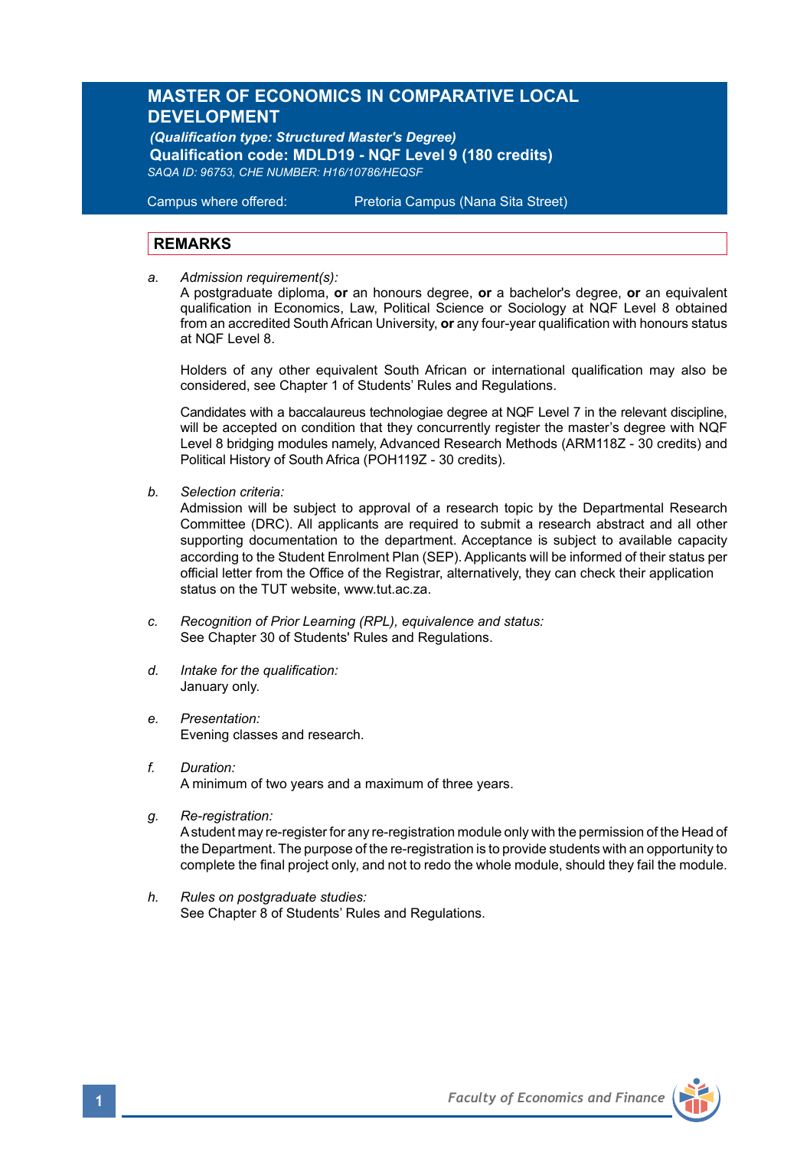# **MASTER OF ECONOMICS IN COMPARATIVE LOCAL DEVELOPMENT**

*(Qualification type: Structured Master's Degree)*   **Qualification code: MDLD19 - NQF Level 9 (180 credits)**  *SAQA ID: 96753, CHE NUMBER: H16/10786/HEQSF* 

Campus where offered: Pretoria Campus (Nana Sita Street)

## **REMARKS**

*a. Admission requirement(s):* 

 A postgraduate diploma, **or** an honours degree, **or** a bachelor's degree, **or** an equivalent qualification in Economics, Law, Political Science or Sociology at NQF Level 8 obtained from an accredited South African University, **or** any four-year qualification with honours status at NQF Level 8.

Holders of any other equivalent South African or international qualification may also be considered, see Chapter 1 of Students' Rules and Regulations.

Candidates with a baccalaureus technologiae degree at NQF Level 7 in the relevant discipline, will be accepted on condition that they concurrently register the master's degree with NQF Level 8 bridging modules namely, Advanced Research Methods (ARM118Z - 30 credits) and Political History of South Africa (POH119Z - 30 credits).

*b. Selection criteria:*

 Admission will be subject to approval of a research topic by the Departmental Research Committee (DRC). All applicants are required to submit a research abstract and all other supporting documentation to the department. Acceptance is subject to available capacity according to the Student Enrolment Plan (SEP). Applicants will be informed of their status per official letter from the Office of the Registrar, alternatively, they can check their application status on the TUT website, www.tut.ac.za.

- *c. Recognition of Prior Learning (RPL), equivalence and status:* See Chapter 30 of Students' Rules and Regulations.
- *d. Intake for the qualification:* January only.
- *e. Presentation:* Evening classes and research.
- *f. Duration:*  A minimum of two years and a maximum of three years.
- *g. Re-registration:*

A student may re-register for any re-registration module only with the permission of the Head of the Department. The purpose of the re-registration is to provide students with an opportunity to complete the final project only, and not to redo the whole module, should they fail the module.

*h. Rules on postgraduate studies:* See Chapter 8 of Students' Rules and Regulations.

**1** *Faculty of Economics and Finance*

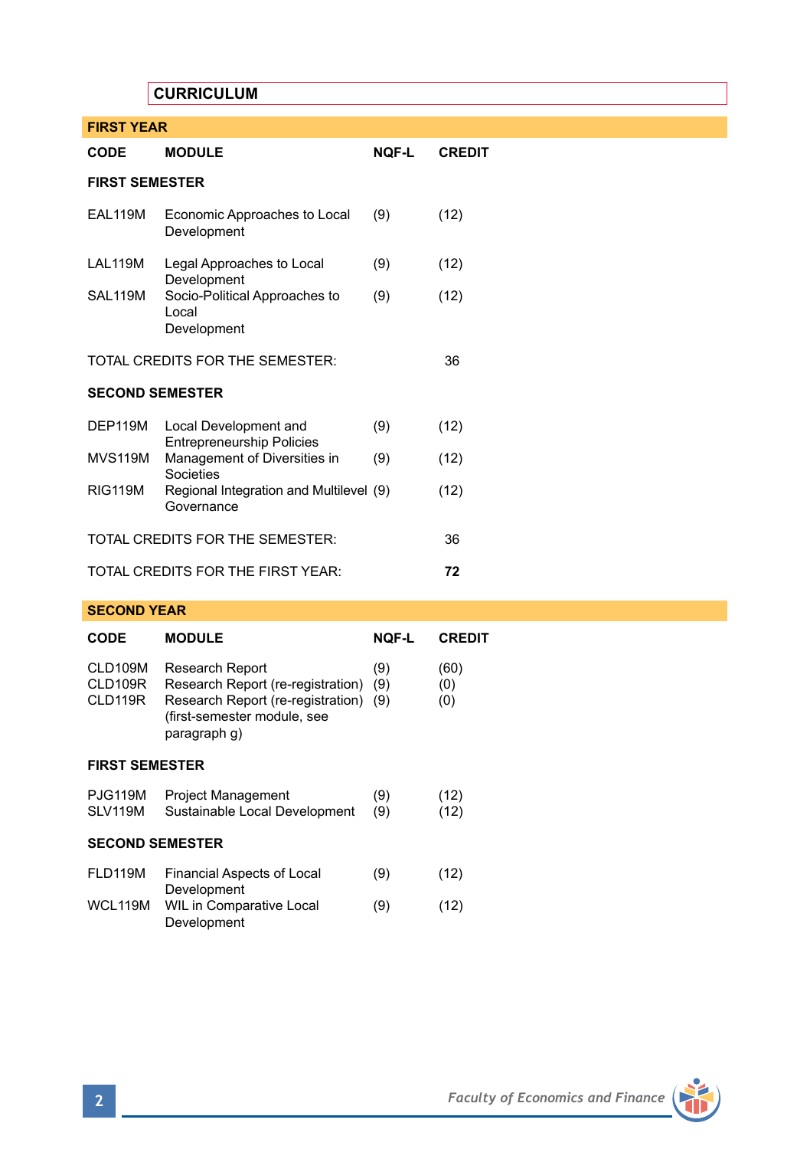# **CURRICULUM**

| <b>FIRST YEAR</b>                 |                                                           |       |               |  |  |
|-----------------------------------|-----------------------------------------------------------|-------|---------------|--|--|
| <b>CODE</b>                       | <b>MODULE</b>                                             | NOF-L | <b>CREDIT</b> |  |  |
| <b>FIRST SEMESTER</b>             |                                                           |       |               |  |  |
| EAL119M                           | Economic Approaches to Local<br>Development               | (9)   | (12)          |  |  |
| LAL119M                           | Legal Approaches to Local<br>Development                  | (9)   | (12)          |  |  |
| SAL119M                           | Socio-Political Approaches to<br>Local<br>Development     | (9)   | (12)          |  |  |
| TOTAL CREDITS FOR THE SEMESTER:   | 36                                                        |       |               |  |  |
| <b>SECOND SEMESTER</b>            |                                                           |       |               |  |  |
| DEP119M                           | Local Development and<br><b>Entrepreneurship Policies</b> | (9)   | (12)          |  |  |
| <b>MVS119M</b>                    | Management of Diversities in<br>Societies                 | (9)   | (12)          |  |  |
| <b>RIG119M</b>                    | Regional Integration and Multilevel (9)<br>Governance     |       | (12)          |  |  |
| TOTAL CREDITS FOR THE SEMESTER:   |                                                           |       | 36            |  |  |
| TOTAL CREDITS FOR THE FIRST YEAR: | 72                                                        |       |               |  |  |

## **SECOND YEAR**

| <b>CODE</b>                   | <b>MODULE</b>                                                                                                                            | <b>NOF-L</b>      | <b>CREDIT</b>      |  |  |
|-------------------------------|------------------------------------------------------------------------------------------------------------------------------------------|-------------------|--------------------|--|--|
| CLD109M<br>CLD109R<br>CLD119R | Research Report<br>Research Report (re-registration)<br>Research Report (re-registration)<br>(first-semester module, see<br>paragraph q) | (9)<br>(9)<br>(9) | (60)<br>(0)<br>(0) |  |  |
| <b>FIRST SEMESTER</b>         |                                                                                                                                          |                   |                    |  |  |
| PJG119M<br>SLV119M            | <b>Project Management</b><br>Sustainable Local Development                                                                               | (9)<br>(9)        | (12)<br>(12)       |  |  |
| <b>SECOND SEMESTER</b>        |                                                                                                                                          |                   |                    |  |  |
| FLD119M                       | Financial Aspects of Local<br>Development                                                                                                | (9)               | (12)               |  |  |
| WCL119M                       | WIL in Comparative Local<br>Development                                                                                                  | (9)               | (12)               |  |  |

m

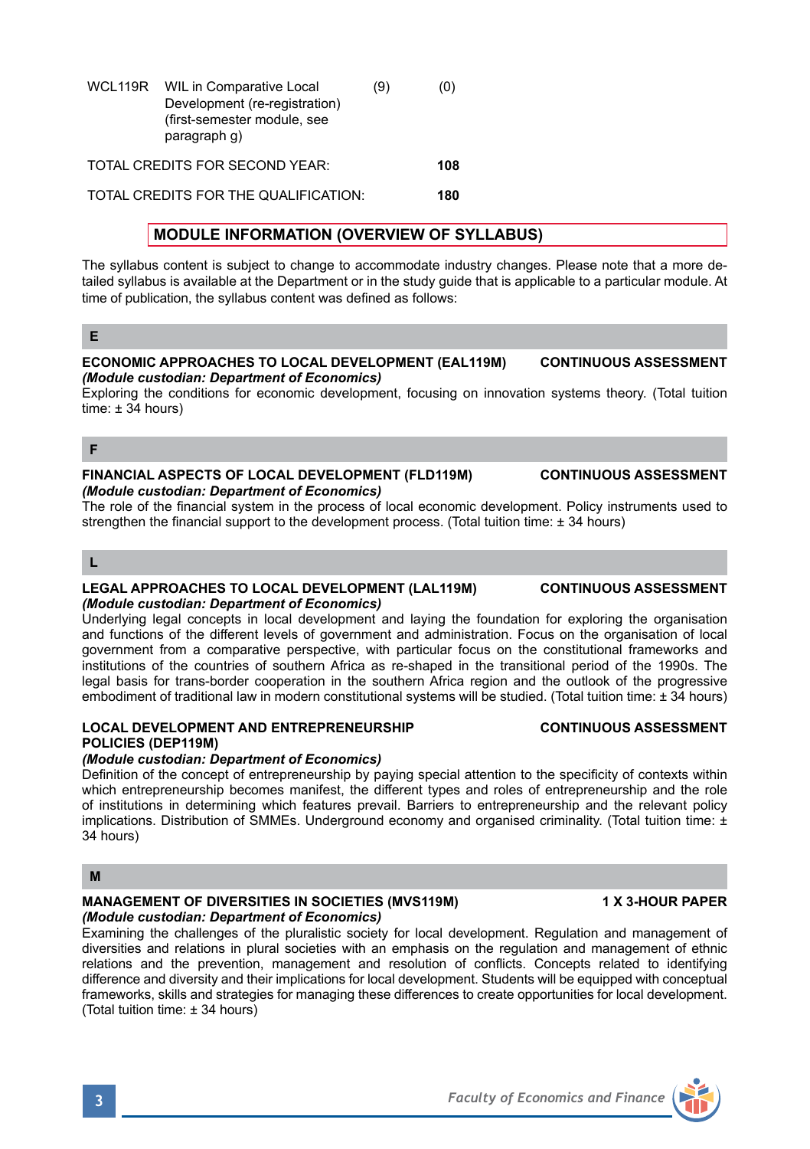| WCL119R | WIL in Comparative Local<br>Development (re-registration)<br>(first-semester module, see<br>paragraph q) | (9) | (0) |
|---------|----------------------------------------------------------------------------------------------------------|-----|-----|
|         | TOTAL CREDITS FOR SECOND YEAR:                                                                           |     | 108 |

TOTAL CREDITS FOR THE QUALIFICATION: **180**

# **MODULE INFORMATION (OVERVIEW OF SYLLABUS)**

The syllabus content is subject to change to accommodate industry changes. Please note that a more detailed syllabus is available at the Department or in the study guide that is applicable to a particular module. At time of publication, the syllabus content was defined as follows:

## **E**

### **ECONOMIC APPROACHES TO LOCAL DEVELOPMENT (EAL119M) CONTINUOUS ASSESSMENT** *(Module custodian: Department of Economics)*

Exploring the conditions for economic development, focusing on innovation systems theory. (Total tuition time:  $\pm$  34 hours)

**F**

### **FINANCIAL ASPECTS OF LOCAL DEVELOPMENT (FLD119M) CONTINUOUS ASSESSMENT** *(Module custodian: Department of Economics)*

The role of the financial system in the process of local economic development. Policy instruments used to strengthen the financial support to the development process. (Total tuition time: ± 34 hours)

# **L**

### **LEGAL APPROACHES TO LOCAL DEVELOPMENT (LAL119M) CONTINUOUS ASSESSMENT** *(Module custodian: Department of Economics)*

Underlying legal concepts in local development and laying the foundation for exploring the organisation and functions of the different levels of government and administration. Focus on the organisation of local government from a comparative perspective, with particular focus on the constitutional frameworks and institutions of the countries of southern Africa as re-shaped in the transitional period of the 1990s. The legal basis for trans-border cooperation in the southern Africa region and the outlook of the progressive embodiment of traditional law in modern constitutional systems will be studied. (Total tuition time: ± 34 hours)

## **LOCAL DEVELOPMENT AND ENTREPRENEURSHIP CONTINUOUS ASSESSMENT POLICIES (DEP119M)**

### *(Module custodian: Department of Economics)*

Definition of the concept of entrepreneurship by paying special attention to the specificity of contexts within which entrepreneurship becomes manifest, the different types and roles of entrepreneurship and the role of institutions in determining which features prevail. Barriers to entrepreneurship and the relevant policy implications. Distribution of SMMEs. Underground economy and organised criminality. (Total tuition time: ± 34 hours)

## **M**

### **MANAGEMENT OF DIVERSITIES IN SOCIETIES (MVS119M) 1 X 3-HOUR PAPER** *(Module custodian: Department of Economics)*

Examining the challenges of the pluralistic society for local development. Regulation and management of diversities and relations in plural societies with an emphasis on the regulation and management of ethnic relations and the prevention, management and resolution of conflicts. Concepts related to identifying difference and diversity and their implications for local development. Students will be equipped with conceptual frameworks, skills and strategies for managing these differences to create opportunities for local development. (Total tuition time: ± 34 hours)